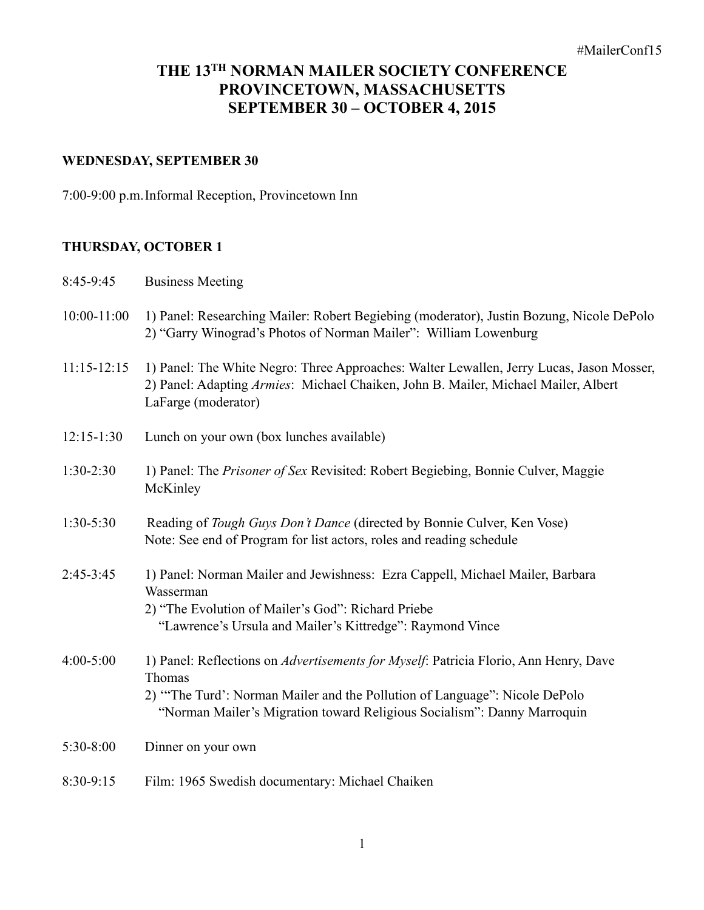## **THE 13TH NORMAN MAILER SOCIETY CONFERENCE PROVINCETOWN, MASSACHUSETTS SEPTEMBER 30 – OCTOBER 4, 2015**

#### **WEDNESDAY, SEPTEMBER 30**

7:00-9:00 p.m. Informal Reception, Provincetown Inn

#### **THURSDAY, OCTOBER 1**

- 8:45-9:45 Business Meeting
- 10:00-11:00 1) Panel: Researching Mailer: Robert Begiebing (moderator), Justin Bozung, Nicole DePolo 2) "Garry Winograd's Photos of Norman Mailer": William Lowenburg
- 11:15-12:15 1) Panel: The White Negro: Three Approaches: Walter Lewallen, Jerry Lucas, Jason Mosser, 2) Panel: Adapting *Armies*: Michael Chaiken, John B. Mailer, Michael Mailer, Albert LaFarge (moderator)
- 12:15-1:30 Lunch on your own (box lunches available)
- 1:30-2:30 1) Panel: The *Prisoner of Sex* Revisited: Robert Begiebing, Bonnie Culver, Maggie **McKinley**
- 1:30-5:30 Reading of *Tough Guys Don't Dance* (directed by Bonnie Culver, Ken Vose) Note: See end of Program for list actors, roles and reading schedule
- 2:45-3:45 1) Panel: Norman Mailer and Jewishness: Ezra Cappell, Michael Mailer, Barbara Wasserman 2) "The Evolution of Mailer's God": Richard Priebe
	- "Lawrence's Ursula and Mailer's Kittredge": Raymond Vince
- 4:00-5:00 1) Panel: Reflections on *Advertisements for Myself*: Patricia Florio, Ann Henry, Dave Thomas 2) '"The Turd': Norman Mailer and the Pollution of Language": Nicole DePolo "Norman Mailer's Migration toward Religious Socialism": Danny Marroquin
- 5:30-8:00 Dinner on your own
- 8:30-9:15 Film: 1965 Swedish documentary: Michael Chaiken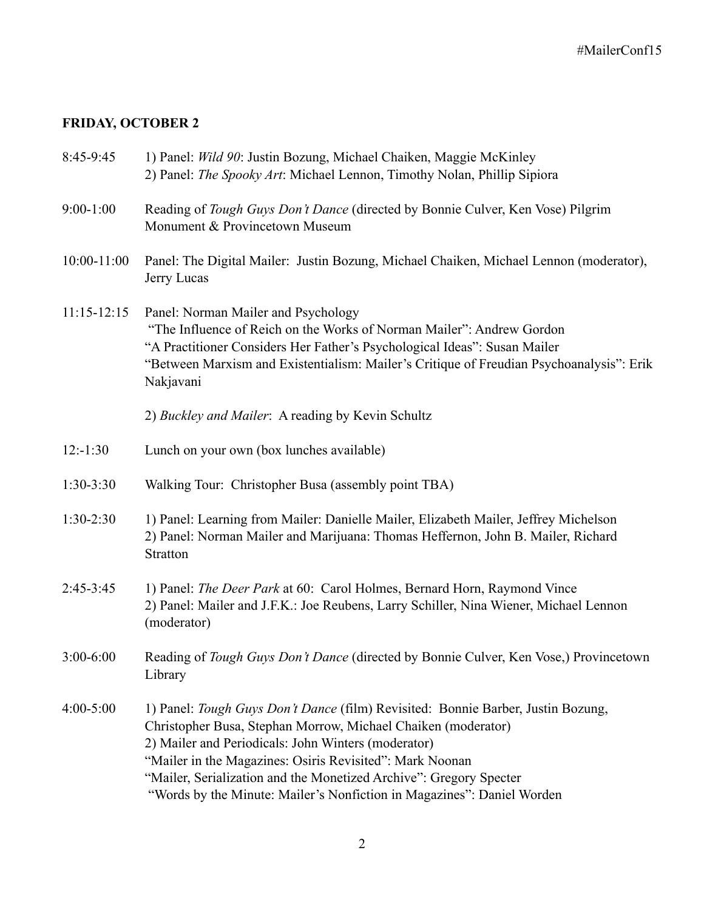# **FRIDAY, OCTOBER 2**

| 8:45-9:45       | 1) Panel: Wild 90: Justin Bozung, Michael Chaiken, Maggie McKinley<br>2) Panel: The Spooky Art: Michael Lennon, Timothy Nolan, Phillip Sipiora                                                                                                                                                                                                                                                                              |
|-----------------|-----------------------------------------------------------------------------------------------------------------------------------------------------------------------------------------------------------------------------------------------------------------------------------------------------------------------------------------------------------------------------------------------------------------------------|
| $9:00-1:00$     | Reading of Tough Guys Don't Dance (directed by Bonnie Culver, Ken Vose) Pilgrim<br>Monument & Provincetown Museum                                                                                                                                                                                                                                                                                                           |
| $10:00 - 11:00$ | Panel: The Digital Mailer: Justin Bozung, Michael Chaiken, Michael Lennon (moderator),<br>Jerry Lucas                                                                                                                                                                                                                                                                                                                       |
| $11:15 - 12:15$ | Panel: Norman Mailer and Psychology<br>"The Influence of Reich on the Works of Norman Mailer": Andrew Gordon<br>"A Practitioner Considers Her Father's Psychological Ideas": Susan Mailer<br>"Between Marxism and Existentialism: Mailer's Critique of Freudian Psychoanalysis": Erik<br>Nakjavani                                                                                                                          |
|                 | 2) Buckley and Mailer: A reading by Kevin Schultz                                                                                                                                                                                                                                                                                                                                                                           |
| $12:-1:30$      | Lunch on your own (box lunches available)                                                                                                                                                                                                                                                                                                                                                                                   |
| $1:30-3:30$     | Walking Tour: Christopher Busa (assembly point TBA)                                                                                                                                                                                                                                                                                                                                                                         |
| $1:30-2:30$     | 1) Panel: Learning from Mailer: Danielle Mailer, Elizabeth Mailer, Jeffrey Michelson<br>2) Panel: Norman Mailer and Marijuana: Thomas Heffernon, John B. Mailer, Richard<br><b>Stratton</b>                                                                                                                                                                                                                                 |
| $2:45-3:45$     | 1) Panel: The Deer Park at 60: Carol Holmes, Bernard Horn, Raymond Vince<br>2) Panel: Mailer and J.F.K.: Joe Reubens, Larry Schiller, Nina Wiener, Michael Lennon<br>(moderator)                                                                                                                                                                                                                                            |
| $3:00-6:00$     | Reading of Tough Guys Don't Dance (directed by Bonnie Culver, Ken Vose,) Provincetown<br>Library                                                                                                                                                                                                                                                                                                                            |
| $4:00-5:00$     | 1) Panel: <i>Tough Guys Don't Dance</i> (film) Revisited: Bonnie Barber, Justin Bozung,<br>Christopher Busa, Stephan Morrow, Michael Chaiken (moderator)<br>2) Mailer and Periodicals: John Winters (moderator)<br>"Mailer in the Magazines: Osiris Revisited": Mark Noonan<br>"Mailer, Serialization and the Monetized Archive": Gregory Specter<br>"Words by the Minute: Mailer's Nonfiction in Magazines": Daniel Worden |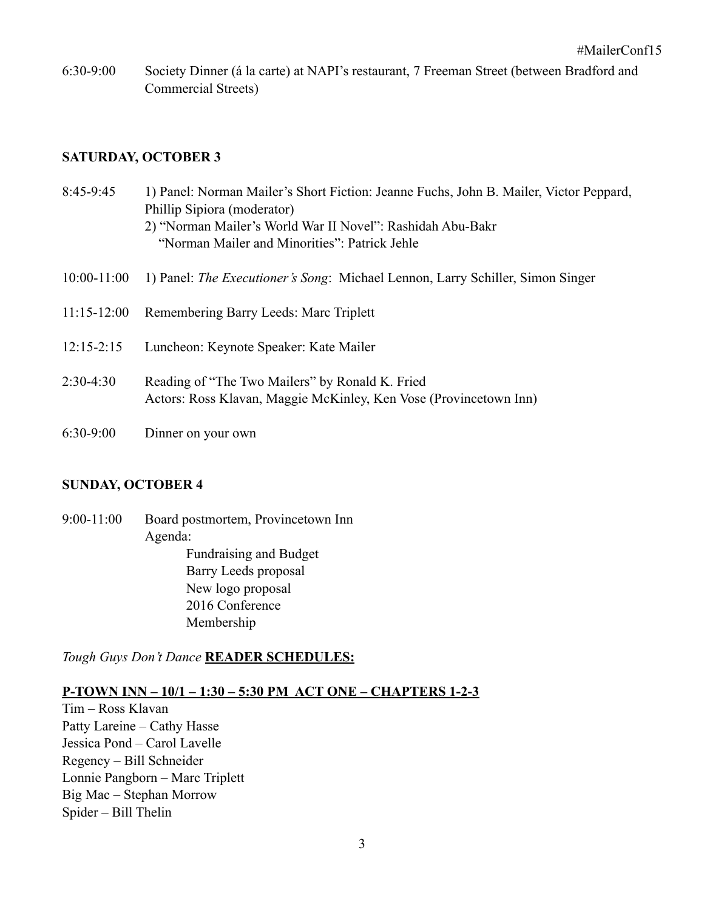6:30-9:00 Society Dinner (á la carte) at NAPI's restaurant, 7 Freeman Street (between Bradford and Commercial Streets)

#### **SATURDAY, OCTOBER 3**

| 8:45-9:45      | 1) Panel: Norman Mailer's Short Fiction: Jeanne Fuchs, John B. Mailer, Victor Peppard,<br>Phillip Sipiora (moderator)<br>2) "Norman Mailer's World War II Novel": Rashidah Abu-Bakr<br>"Norman Mailer and Minorities": Patrick Jehle |
|----------------|--------------------------------------------------------------------------------------------------------------------------------------------------------------------------------------------------------------------------------------|
| $10:00-11:00$  | 1) Panel: The Executioner's Song: Michael Lennon, Larry Schiller, Simon Singer                                                                                                                                                       |
| $11:15-12:00$  | Remembering Barry Leeds: Marc Triplett                                                                                                                                                                                               |
| $12:15 - 2:15$ | Luncheon: Keynote Speaker: Kate Mailer                                                                                                                                                                                               |
| $2:30-4:30$    | Reading of "The Two Mailers" by Ronald K. Fried<br>Actors: Ross Klavan, Maggie McKinley, Ken Vose (Provincetown Inn)                                                                                                                 |
| $6:30-9:00$    | Dinner on your own                                                                                                                                                                                                                   |

**SUNDAY, OCTOBER 4** 

9:00-11:00 Board postmortem, Provincetown Inn Agenda: Fundraising and Budget Barry Leeds proposal New logo proposal 2016 Conference Membership

#### *Tough Guys Don't Dance* **READER SCHEDULES:**

#### **P-TOWN INN – 10/1 – 1:30 – 5:30 PM ACT ONE – CHAPTERS 1-2-3**

Tim – Ross Klavan Patty Lareine – Cathy Hasse Jessica Pond – Carol Lavelle Regency – Bill Schneider Lonnie Pangborn – Marc Triplett Big Mac – Stephan Morrow Spider – Bill Thelin